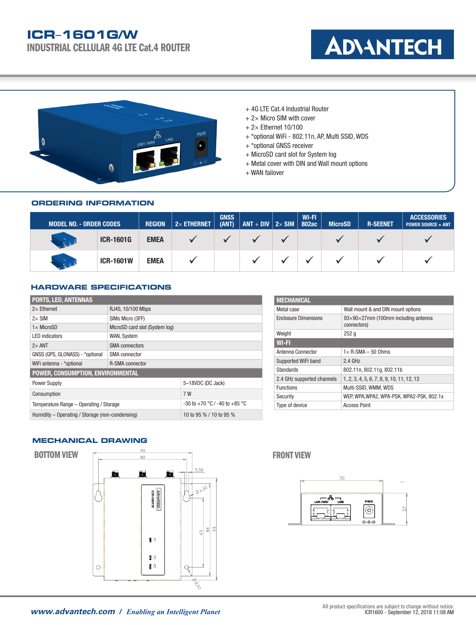# **ICR**–**1601G/W**

INDUSTRIAL CELLULAR 4G LTE Cat.4 ROUTER





- + 4G LTE Cat.4 Industrial Router
- $+ 2\times$  Micro SIM with cover
- $+ 2 \times$  Ethernet 10/100
- + \*optional WiFi 802.11n, AP, Multi SSID, WDS
- + \*optional GNSS receiver
- + MicroSD card slot for System log
- + Metal cover with DIN and Wall mount options
- + WAN failover

### **ORDERING INFORMATION**

| <b>MODEL NO. - ORDER CODES,</b> |                  | <b>REGION</b> | $ 2\times$ ethernet | <b>GNSS</b><br>(ANT) | $ ANT + DIV 2 \times SIM $ 802ac | WI-FI | <b>MicroSD</b> | <b>R-SEENET</b> | <b>ACCESSORIES</b><br><b>POWER SOURCE + ANT</b> |
|---------------------------------|------------------|---------------|---------------------|----------------------|----------------------------------|-------|----------------|-----------------|-------------------------------------------------|
|                                 | <b>ICR-1601G</b> | <b>EMEA</b>   |                     |                      |                                  |       |                |                 |                                                 |
| $\mathbf{r}$                    | <b>ICR-1601W</b> | <b>EMEA</b>   |                     |                      |                                  |       |                |                 |                                                 |

### **HARDWARE SPECIFICATIONS**

| <b>PORTS, LED, ANTENNAS</b>                     |                                |  |  |  |
|-------------------------------------------------|--------------------------------|--|--|--|
| $2\times$ Ethernet                              | RJ45, 10/100 Mbps              |  |  |  |
| $2\times$ SIM                                   | SIMs Micro (3FF)               |  |  |  |
| $1 \times$ MicroSD                              | MicroSD card slot (System log) |  |  |  |
| <b>LED</b> indicators                           | WAN, System                    |  |  |  |
| $2\times$ ANT                                   | <b>SMA</b> connectors          |  |  |  |
| GNSS (GPS, GLONASS) - *optional                 | SMA connector                  |  |  |  |
| WiFi antenna - *optional                        | <b>R-SMA</b> connector         |  |  |  |
| POWER, CONSUMPTION, ENVIRONMENTAL               |                                |  |  |  |
| <b>Power Supply</b>                             | 5-18VDC (DC Jack)              |  |  |  |
| Consumption                                     | 7 W                            |  |  |  |
| Temperature Range - Operating / Storage         | -30 to +70 °C / -40 to +85 °C  |  |  |  |
| Humidity - Operating / Storage (non-condensing) | 10 to 95 % / 10 to 95 %        |  |  |  |

| <b>MECHANICAL</b>           |                                                                 |  |  |
|-----------------------------|-----------------------------------------------------------------|--|--|
| Metal case                  | Wall mount & and DIN mount options                              |  |  |
| <b>Enclosure Dimensions</b> | $93\times90\times27$ mm (100mm including antenna<br>connectors) |  |  |
| Weight                      | 252q                                                            |  |  |
| $WI-FI$                     |                                                                 |  |  |
| Antenna Connector           | $1 \times R$ -SMA – 50 Ohms                                     |  |  |
| Supported WiFi band         | $2.4$ GHz                                                       |  |  |
| <b>Standards</b>            | 802.11n, 802.11g, 802.11b                                       |  |  |
| 2.4 GHz supported channels  | 1, 2, 3, 4, 5, 6, 7, 8, 9, 10, 11, 12, 13                       |  |  |
| <b>Functions</b>            | Multi-SSID, WMM, WDS                                            |  |  |
| Security                    | WEP, WPA, WPA2, WPA-PSK, WPA2-PSK, 802.1x                       |  |  |
| Type of device              | <b>Access Point</b>                                             |  |  |

## **MECHANICAL DRAWING**